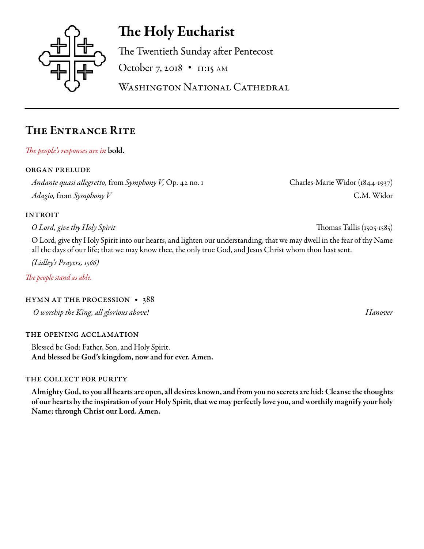

# The Holy Eucharist

The Twentieth Sunday after Pentecost

October 7, 2018 • 11:15 AM

WASHINGTON NATIONAL CATHEDRAL

## The Entrance Rite

*The people's responses are in* bold.

### organ prelude

*Andante quasi allegretto, from Symphony V, Op. 42 no. 1* Charles-Marie Widor (1844-1937) *Adagio,* from *Symphony V* C.M. Widor

#### **INTROIT**

*O Lord, give thy Holy Spirit* Thomas Tallis (1505-1585)

O Lord, give thy Holy Spirit into our hearts, and lighten our understanding, that we may dwell in the fear of thy Name all the days of our life; that we may know thee, the only true God, and Jesus Christ whom thou hast sent.

*(Lidley's Prayers, 1566)*

*The people stand as able.* 

### hymn at the procession • 388

 *O worship the King, all glorious above! Hanover* 

### the opening acclamation

Blessed be God: Father, Son, and Holy Spirit. And blessed be God's kingdom, now and for ever. Amen.

### THE COLLECT FOR PURITY

Almighty God, to you all hearts are open, all desires known, and from you no secrets are hid: Cleanse the thoughts of our hearts by the inspiration of your Holy Spirit, that we may perfectly love you, and worthily magnify your holy Name; through Christ our Lord. Amen.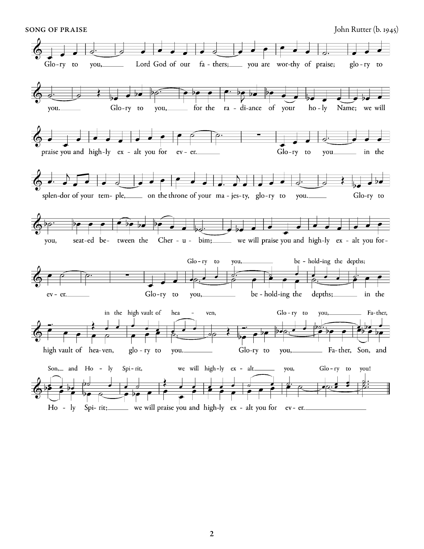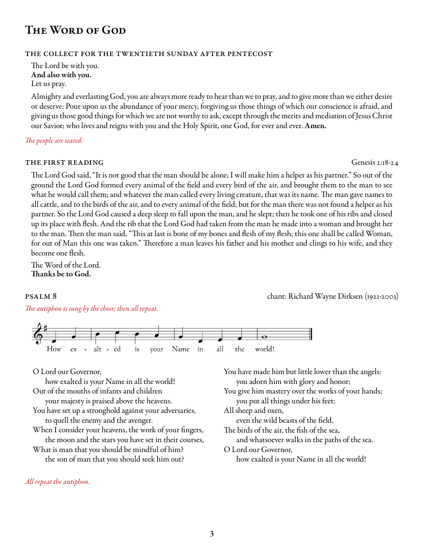## The Word of God

#### the collect for the twentieth sunday after pentecost

The Lord be with you. And also with you. Let us pray.

Almighty and everlasting God, you are always more ready to hear than we to pray, and to give more than we either desire or deserve: Pour upon us the abundance of your mercy, forgiving us those things of which our conscience is afraid, and giving us those good things for which we are not worthy to ask, except through the merits and mediation of Jesus Christ our Savior; who lives and reigns with you and the Holy Spirit, one God, for ever and ever. Amen.

*The people are seated.* 

#### THE FIRST READING GENERAL SERVICE SERVICE SCHOOL SERVICE SERVICE SCHOOL GENERAL SERVICE SCHOOL SERVICE SCHOOL

The Lord God said, "It is not good that the man should be alone; I will make him a helper as his partner." So out of the ground the Lord God formed every animal of the field and every bird of the air, and brought them to the man to see what he would call them; and whatever the man called every living creature, that was its name. The man gave names to all cattle, and to the birds of the air, and to every animal of the field; but for the man there was not found a helper as his partner. So the Lord God caused a deep sleep to fall upon the man, and he slept; then he took one of his ribs and closed up its place with flesh. And the rib that the Lord God had taken from the man he made into a woman and brought her to the man. Then the man said, "This at last is bone of my bones and flesh of my flesh; this one shall be called Woman, for out of Man this one was taken." Therefore a man leaves his father and his mother and clings to his wife, and they become one flesh.

The Word of the Lord. Thanks be to God.

#### psalm 8 chant: Richard Wayne Dirksen (1921-2003)

*The antiphon is sung by the choir, then all repeat.*



O Lord our Governor,

 how exalted is your Name in all the world! Out of the mouths of infants and children

your majesty is praised above the heavens.

 You have set up a stronghold against your adversaries, to quell the enemy and the avenger.

 When I consider your heavens, the work of your fingers, the moon and the stars you have set in their courses,

 What is man that you should be mindful of him? the son of man that you should seek him out?

*All repeat the antiphon.*

 You have made him but little lower than the angels; you adorn him with glory and honor; You give him mastery over the works of your hands; you put all things under his feet: All sheep and oxen, even the wild beasts of the field, The birds of the air, the fish of the sea, and whatsoever walks in the paths of the sea. O Lord our Governor, how exalted is your Name in all the world!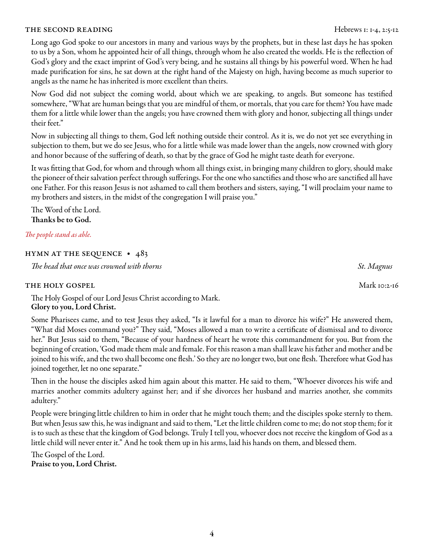#### THE SECOND READING Hebrews 1: 1-4, 2:5-12

Long ago God spoke to our ancestors in many and various ways by the prophets, but in these last days he has spoken to us by a Son, whom he appointed heir of all things, through whom he also created the worlds. He is the reflection of God's glory and the exact imprint of God's very being, and he sustains all things by his powerful word. When he had made purification for sins, he sat down at the right hand of the Majesty on high, having become as much superior to angels as the name he has inherited is more excellent than theirs.

Now God did not subject the coming world, about which we are speaking, to angels. But someone has testified somewhere, "What are human beings that you are mindful of them, or mortals, that you care for them? You have made them for a little while lower than the angels; you have crowned them with glory and honor, subjecting all things under their feet."

Now in subjecting all things to them, God left nothing outside their control. As it is, we do not yet see everything in subjection to them, but we do see Jesus, who for a little while was made lower than the angels, now crowned with glory and honor because of the suffering of death, so that by the grace of God he might taste death for everyone.

It was fitting that God, for whom and through whom all things exist, in bringing many children to glory, should make the pioneer of their salvation perfect through sufferings. For the one who sanctifies and those who are sanctified all have one Father. For this reason Jesus is not ashamed to call them brothers and sisters, saying, "I will proclaim your name to my brothers and sisters, in the midst of the congregation I will praise you."

The Word of the Lord. Thanks be to God.

#### *The people stand as able.*

#### HYMN AT THE SEQUENCE  $\cdot$  483

*The head that once was crowned with thorns St. Magnus* 

#### THE HOLY GOSPEL **Mark 10:2-16**

The Holy Gospel of our Lord Jesus Christ according to Mark. Glory to you, Lord Christ.

Some Pharisees came, and to test Jesus they asked, "Is it lawful for a man to divorce his wife?" He answered them, "What did Moses command you?" They said, "Moses allowed a man to write a certificate of dismissal and to divorce her." But Jesus said to them, "Because of your hardness of heart he wrote this commandment for you. But from the beginning of creation, 'God made them male and female. For this reason a man shall leave his father and mother and be joined to his wife, and the two shall become one flesh.' So they are no longer two, but one flesh. Therefore what God has joined together, let no one separate."

Then in the house the disciples asked him again about this matter. He said to them, "Whoever divorces his wife and marries another commits adultery against her; and if she divorces her husband and marries another, she commits adultery."

People were bringing little children to him in order that he might touch them; and the disciples spoke sternly to them. But when Jesus saw this, he was indignant and said to them, "Let the little children come to me; do not stop them; for it is to such as these that the kingdom of God belongs. Truly I tell you, whoever does not receive the kingdom of God as a little child will never enter it." And he took them up in his arms, laid his hands on them, and blessed them.

The Gospel of the Lord. Praise to you, Lord Christ.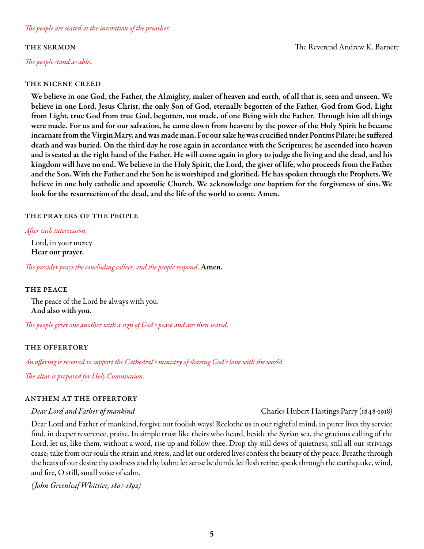*The people stand as able.* 

#### the nicene creed

We believe in one God, the Father, the Almighty, maker of heaven and earth, of all that is, seen and unseen. We believe in one Lord, Jesus Christ, the only Son of God, eternally begotten of the Father, God from God, Light from Light, true God from true God, begotten, not made, of one Being with the Father. Through him all things were made. For us and for our salvation, he came down from heaven: by the power of the Holy Spirit he became incarnate from the Virgin Mary, and was made man. For our sake he was crucified under Pontius Pilate; he suffered death and was buried. On the third day he rose again in accordance with the Scriptures; he ascended into heaven and is seated at the right hand of the Father. He will come again in glory to judge the living and the dead, and his kingdom will have no end. We believe in the Holy Spirit, the Lord, the giver of life, who proceeds from the Father and the Son. With the Father and the Son he is worshiped and glorified. He has spoken through the Prophets.We believe in one holy catholic and apostolic Church. We acknowledge one baptism for the forgiveness of sins.We look for the resurrection of the dead, and the life of the world to come. Amen.

#### the prayers of the people

#### *After each intercession,*

Lord, in your mercy Hear our prayer.

*The presider prays the concluding collect, and the people respond,* Amen.

#### THE PEACE

The peace of the Lord be always with you. And also with you.

*The people greet one another with a sign of God's peace and are then seated.*

#### the offertory

*An offering is received to support the Cathedral's ministry of sharing God's love with the world.*

*The altar is prepared for Holy Communion.*

#### anthem at the offertory

*Dear Lord and Father of mankind* Charles Hubert Hastings Parry (1848-1918)

Dear Lord and Father of mankind, forgive our foolish ways! Reclothe us in our rightful mind, in purer lives thy service find, in deeper reverence, praise. In simple trust like theirs who heard, beside the Syrian sea, the gracious calling of the Lord, let us, like them, without a word, rise up and follow thee. Drop thy still dews of quietness, still all our strivings cease; take from our souls the strain and stress, and let our ordered lives confess the beauty of thy peace. Breathe through the heats of our desire thy coolness and thy balm; let sense be dumb, let flesh retire; speak through the earthquake, wind, and fire, O still, small voice of calm.

*(John Greenleaf Whittier, 1807-1892)*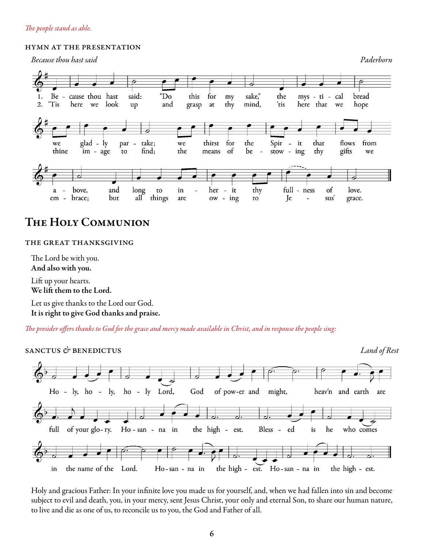#### *The people stand as able.*

#### hymn at the presentation



## The Holy Communion

#### the great thanksgiving

The Lord be with you. And also with you. Lift up your hearts. We lift them to the Lord.

Let us give thanks to the Lord our God. It is right to give God thanks and praise.

*The presider offers thanks to God for the grace and mercy made available in Christ, and in response the people sing:*



Holy and gracious Father: In your infinite love you made us for yourself, and, when we had fallen into sin and become subject to evil and death, you, in your mercy, sent Jesus Christ, your only and eternal Son, to share our human nature, to live and die as one of us, to reconcile us to you, the God and Father of all.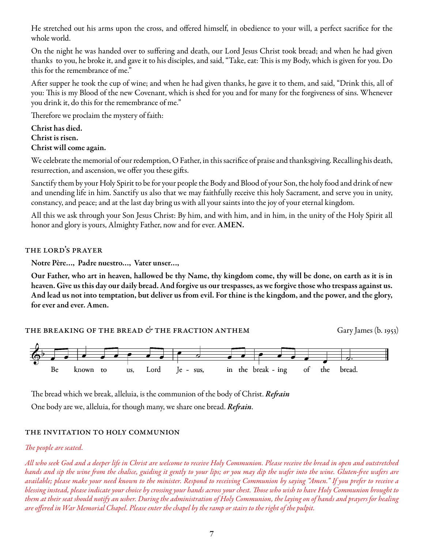He stretched out his arms upon the cross, and offered himself, in obedience to your will, a perfect sacrifice for the whole world.

On the night he was handed over to suffering and death, our Lord Jesus Christ took bread; and when he had given thanks to you, he broke it, and gave it to his disciples, and said, "Take, eat: This is my Body, which is given for you. Do this for the remembrance of me."

After supper he took the cup of wine; and when he had given thanks, he gave it to them, and said, "Drink this, all of you: This is my Blood of the new Covenant, which is shed for you and for many for the forgiveness of sins. Whenever you drink it, do this for the remembrance of me."

Therefore we proclaim the mystery of faith:

#### Christ has died. Christ is risen. Christ will come again.

We celebrate the memorial of our redemption, O Father, in this sacrifice of praise and thanksgiving. Recalling his death, resurrection, and ascension, we offer you these gifts.

Sanctify them by your Holy Spirit to be for your people the Body and Blood of your Son, the holy food and drink of new and unending life in him. Sanctify us also that we may faithfully receive this holy Sacrament, and serve you in unity, constancy, and peace; and at the last day bring us with all your saints into the joy of your eternal kingdom.

All this we ask through your Son Jesus Christ: By him, and with him, and in him, in the unity of the Holy Spirit all honor and glory is yours, Almighty Father, now and for ever. AMEN.

the lord's prayer

Notre Père…, Padre nuestro…, Vater unser…,

Our Father, who art in heaven, hallowed be thy Name, thy kingdom come, thy will be done, on earth as it is in heaven. Give us this day our daily bread. And forgive us our trespasses, as we forgive those who trespass against us. And lead us not into temptation, but deliver us from evil. For thine is the kingdom, and the power, and the glory, for ever and ever. Amen.



in the break - ing

 $\sigma$ 

the

bread.



 $Je - sus$ 

Lord

One body are we, alleluia, for though many, we share one bread. *Refrain*.

us,

### the invitation to holy communion

known to

#### *The people are seated.*

Be

*All who seek God and a deeper life in Christ are welcome to receive Holy Communion. Please receive the bread in open and outstretched hands and sip the wine from the chalice, guiding it gently to your lips; or you may dip the wafer into the wine. Gluten-free wafers are available; please make your need known to the minister. Respond to receiving Communion by saying "Amen." If you prefer to receive a blessing instead, please indicate your choice by crossing your hands across your chest. Those who wish to have Holy Communion brought to them at their seat should notify an usher. During the administration of Holy Communion, the laying on of hands and prayers for healing are offered in War Memorial Chapel. Please enter the chapel by the ramp or stairs to the right of the pulpit.*